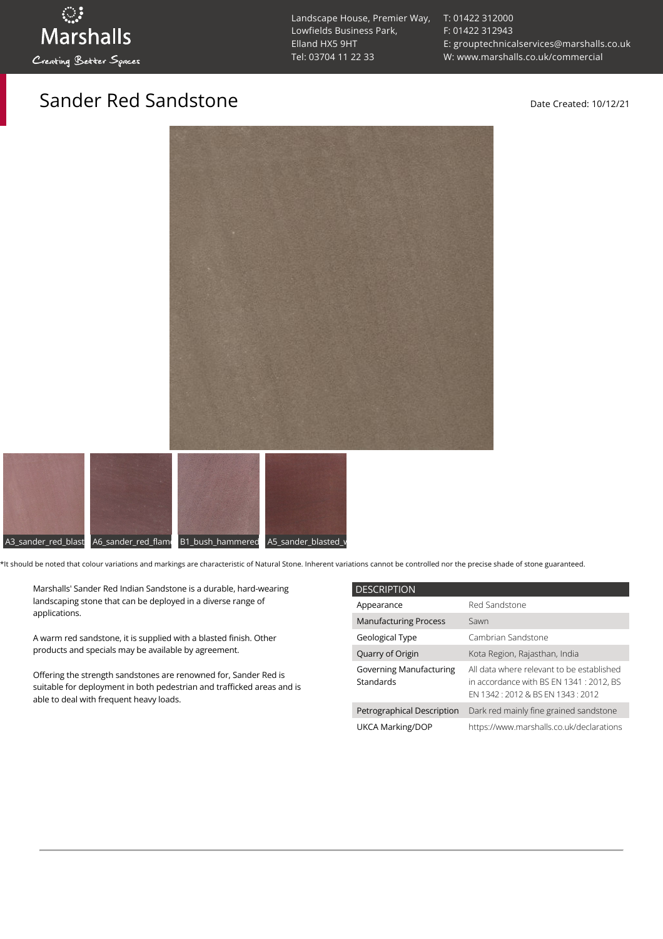Landscape House, Premier Way, Lowfields Business Park, Elland HX5 9HT [Tel: 03704 11 22 33](tel:03704112233)

[T: 01422 312000](tel:01422%20312000) [F: 01422 312943](tel:01422%20312943) [E: grouptechnicalservices@marshalls.co.uk](mailto:grouptechnicalservices@marshalls.co.uk) [W: www.marshalls.co.uk/commercial](https://www.marshalls.co.uk/commercial)

## Sander Red Sandstone Date Created: 10/12/21





\*It should be noted that colour variations and markings are characteristic of Natural Stone. Inherent variations cannot be controlled nor the precise shade of stone guaranteed.

Marshalls' Sander Red Indian Sandstone is a durable, hard-wearing landscaping stone that can be deployed in a diverse range of applications.

A warm red sandstone, it is supplied with a blasted finish. Other products and specials may be available by agreement.

Offering the strength sandstones are renowned for, Sander Red is suitable for deployment in both pedestrian and trafficked areas and is able to deal with frequent heavy loads.

| <b>DESCRIPTION</b>                          |                                                                                                                           |
|---------------------------------------------|---------------------------------------------------------------------------------------------------------------------------|
| Appearance                                  | Red Sandstone                                                                                                             |
| <b>Manufacturing Process</b>                | Sawn                                                                                                                      |
| Geological Type                             | Cambrian Sandstone                                                                                                        |
| Quarry of Origin                            | Kota Region, Rajasthan, India                                                                                             |
| <b>Governing Manufacturing</b><br>Standards | All data where relevant to be established<br>in accordance with BS EN 1341 : 2012. BS<br>FN 1342: 2012 & BS FN 1343: 2012 |
| Petrographical Description                  | Dark red mainly fine grained sandstone                                                                                    |
| UKCA Marking/DOP                            | https://www.marshalls.co.uk/declarations                                                                                  |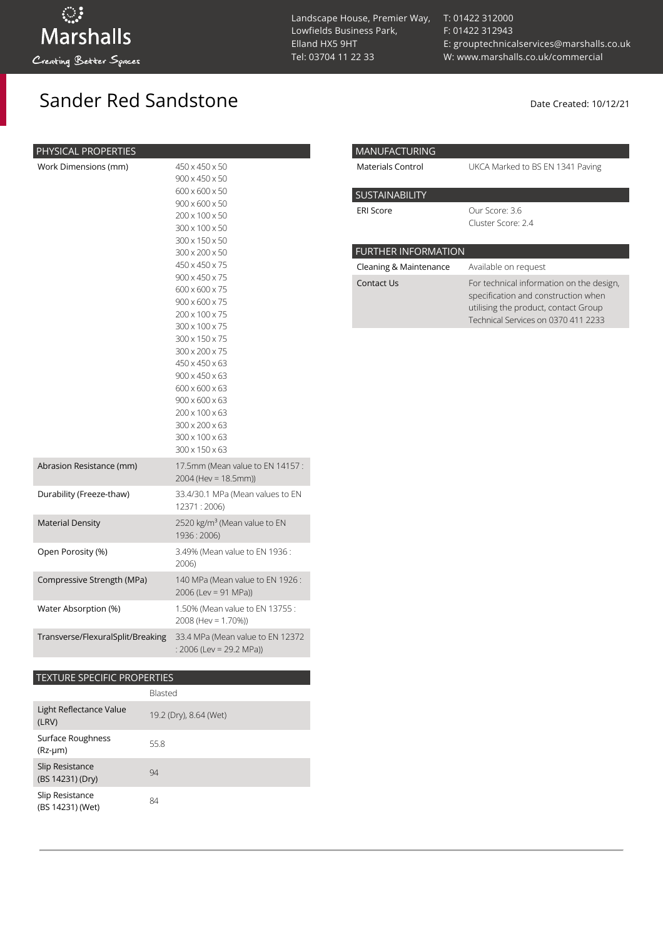Sander Red Sandstone Date Created: 10/12/21

| PHYSICAL PROPERTIES               |                                                                                                                                                                                                                                                                                                                                                                                                                                                                                              |
|-----------------------------------|----------------------------------------------------------------------------------------------------------------------------------------------------------------------------------------------------------------------------------------------------------------------------------------------------------------------------------------------------------------------------------------------------------------------------------------------------------------------------------------------|
| Work Dimensions (mm)              | 450 x 450 x 50<br>900 x 450 x 50<br>600 x 600 x 50<br>$900 \times 600 \times 50$<br>200 x 100 x 50<br>300 x 100 x 50<br>300 x 150 x 50<br>300 x 200 x 50<br>450 x 450 x 75<br>900 x 450 x 75<br>600 x 600 x 75<br>$900 \times 600 \times 75$<br>200 x 100 x 75<br>300 x 100 x 75<br>300 x 150 x 75<br>300 x 200 x 75<br>450 x 450 x 63<br>$900 \times 450 \times 63$<br>600 x 600 x 63<br>$900 \times 600 \times 63$<br>200 x 100 x 63<br>300 x 200 x 63<br>300 x 100 x 63<br>300 x 150 x 63 |
| Abrasion Resistance (mm)          | 17.5mm (Mean value to EN 14157 :<br>2004 (Hev = 18.5mm))                                                                                                                                                                                                                                                                                                                                                                                                                                     |
| Durability (Freeze-thaw)          | 33.4/30.1 MPa (Mean values to EN<br>12371:2006)                                                                                                                                                                                                                                                                                                                                                                                                                                              |
| <b>Material Density</b>           | 2520 kg/m <sup>3</sup> (Mean value to EN<br>1936:2006)                                                                                                                                                                                                                                                                                                                                                                                                                                       |
| Open Porosity (%)                 | 3.49% (Mean value to EN 1936:<br>2006)                                                                                                                                                                                                                                                                                                                                                                                                                                                       |
| Compressive Strength (MPa)        | 140 MPa (Mean value to EN 1926:<br>2006 (Lev = 91 MPa))                                                                                                                                                                                                                                                                                                                                                                                                                                      |
| Water Absorption (%)              | 1.50% (Mean value to EN 13755:<br>2008 (Hev = 1.70%))                                                                                                                                                                                                                                                                                                                                                                                                                                        |
| Transverse/FlexuralSplit/Breaking | 33.4 MPa (Mean value to EN 12372<br>: 2006 (Lev = 29.2 MPa))                                                                                                                                                                                                                                                                                                                                                                                                                                 |

## TEXTURE SPECIFIC PROPERTIES

|                                     | Blasted                |
|-------------------------------------|------------------------|
| Light Reflectance Value<br>(LRV)    | 19.2 (Dry), 8.64 (Wet) |
| Surface Roughness<br>$(Rz-µm)$      | 55.8                   |
| Slip Resistance<br>(BS 14231) (Dry) | 94                     |
| Slip Resistance<br>(BS 14231) (Wet) | 84                     |

[T: 01422 312000](tel:01422%20312000) [F: 01422 312943](tel:01422%20312943) [E: grouptechnicalservices@marshalls.co.uk](mailto:grouptechnicalservices@marshalls.co.uk) [W: www.marshalls.co.uk/commercial](https://www.marshalls.co.uk/commercial)

| <b>MANUFACTURING</b>       |                                                                                                                                                                |
|----------------------------|----------------------------------------------------------------------------------------------------------------------------------------------------------------|
| Materials Control          | UKCA Marked to BS EN 1341 Paving                                                                                                                               |
| SUSTAINABILITY             |                                                                                                                                                                |
| <b>ERI Score</b>           | Our Score: 3.6<br>Cluster Score: 2.4                                                                                                                           |
| <b>FURTHER INFORMATION</b> |                                                                                                                                                                |
| Cleaning & Maintenance     | Available on request                                                                                                                                           |
| Contact Us                 | For technical information on the design,<br>specification and construction when<br>utilising the product, contact Group<br>Technical Services on 0370 411 2233 |